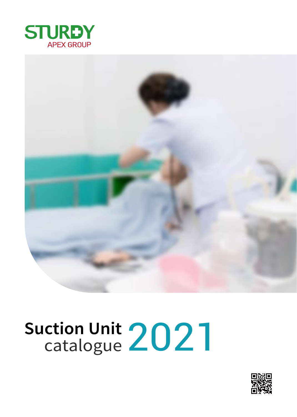



# Suction Unit 2021

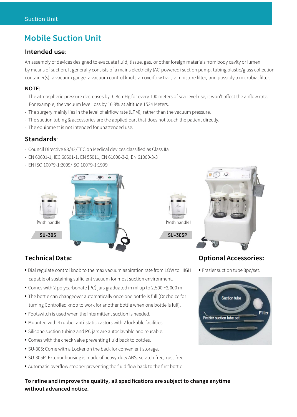# **Mobile Suction Unit**

### **Intended use**:

An assembly of devices designed to evacuate fluid, tissue, gas, or other foreign materials from body cavity or lumen by means of suction. It generally consists of a mains electricity (AC-powered) suction pump, tubing plastic/glass collection container(s), a vacuum gauge, a vacuum control knob, an overflow trap, a moisture filter, and possibly a microbial filter.

### **NOTE**:

- The atmospheric pressure decreases by -0.8cmHg for every 100 meters of sea-level rise, it won't affect the airflow rate. For example, the vacuum level loss by 16.8% at altitude 1524 Meters.
- The surgery mainly lies in the level of airflow rate (LPM), rather than the vacuum pressure.
- The suction tubing & accessories are the applied part that does not touch the patient directly.
- The equipment is not intended for unattended use.

### **Standards**:

- Council Directive 93/42/EEC on Medical devices classified as Class IIa
- EN 60601-1, IEC 60601-1, EN 55011, EN 61000-3-2, EN 61000-3-3
- EN ISO 10079-1:2009/ISO 10079-1:1999









## **Technical Data:**

- Dial regulate control knob to the max vacuum aspiration rate from LOW to HIGH capable of sustaining sufficient vacuum for most suction environment.
- Comes with 2 polycarbonate (PC) jars graduated in ml up to 2,500 ~3,000 ml.
- The bottle can changeover automatically once one bottle is full (Or choice for turning Controlled knob to work for another bottle when one bottle is full).
- Footswitch is used when the intermittent suction is needed.
- Mounted with 4 rubber anti-static castors with 2 lockable facilities.
- Silicone suction tubing and PC jars are autoclavable and reusable.
- Comes with the check valve preventing fluid back to bottles.
- SU-305: Come with a Locker on the back for convenient storage.
- SU-305P: Exterior housing is made of heavy-duty ABS, scratch-free, rust-free.
- Automatic overflow stopper preventing the fluid flow back to the first bottle.

### **To refine and improve the quality**, **all specifications are subject to change anytime without advanced notice.**

### **Optional Accessories:**

• Frazier suction tube 3pc/set.

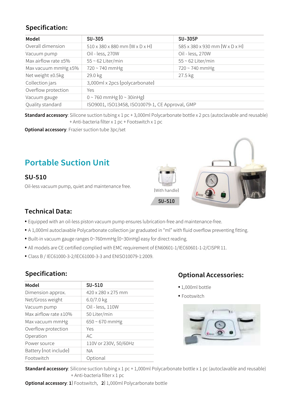# **Specification:**

| Model                | <b>SU-305</b>                                          | <b>SU-305P</b>                 |
|----------------------|--------------------------------------------------------|--------------------------------|
| Overall dimension    | $510 \times 380 \times 880$ mm $(W \times D \times H)$ | 585 x 380 x 930 mm (W x D x H) |
| Vacuum pump          | Oil - less, 270W                                       | Oil - less, 270W               |
| Max airflow rate ±5% | $55 \sim 62$ Liter/min                                 | $55 \sim 62$ Liter/min         |
| Max vacuum mmHg ±5%  | 720~740 mmHg                                           | 720~740 mmHg                   |
| Net weight ±0.5kg    | 29.0 kg                                                | 27.5 kg                        |
| Collection jars      | 3,000ml x 2pcs (polycarbonate)                         |                                |
| Overflow protection  | Yes                                                    |                                |
| Vacuum gauge         | $0 \sim 760$ mmHg $[0 \sim 30$ inHg]                   |                                |
| Quality standard     | ISO9001, ISO13458, ISO10079-1, CE Approval, GMP        |                                |

**Standard accessory**: Silicone suction tubing x 1 pc + 3,000ml Polycarbonate bottle x 2 pcs (autoclavable and reusable) + Anti-bacteria filter x 1 pc + Footswitch x 1 pc

**Optional accessory**: Frazier suction tube 3pc/set

# **Portable Suction Unit**

# **SU-510**

Oil-less vacuum pump, quiet and maintenance free.





# **Technical Data:**

- Equipped with an oil-less piston vacuum pump ensures lubrication-free and maintenance-free.
- A 1,000ml autoclavable Polycarbonate collection jar graduated in "ml" with fluid overflow preventing fitting.
- Built-in vacuum gauge ranges 0~760mmHg (0~30inHg) easy for direct reading.
- All models are CE certified complied with EMC requirement of EN60601-1/IEC60601-1-2/CISPR 11.
- Class B / IEC61000-3-2/IEC61000-3-3 and ENISO10079-1:2009.

## **Specification:**

| <b>SU-510</b>         |  |
|-----------------------|--|
| 420 x 280 x 275 mm    |  |
| $6.0/7.0$ kg          |  |
| Oil - less, 110W      |  |
| 50 Liter/min          |  |
| $650 - 670$ mmHg      |  |
| Yes                   |  |
| AC.                   |  |
| 110V or 230V, 50/60Hz |  |
| <b>NA</b>             |  |
| Optional              |  |
|                       |  |

## **Optional Accessories:**

- <sup>1</sup>,000ml bottle
- Footswitch



**Standard accessory**: Silicone suction tubing x 1 pc + 1,000ml Polycarbonate bottle x 1 pc (autoclavable and reusable) + Anti-bacteria filter x 1 pc

**Optional accessory**: **1**) Footswitch, **2**) 1,000ml Polycarbonate bottle